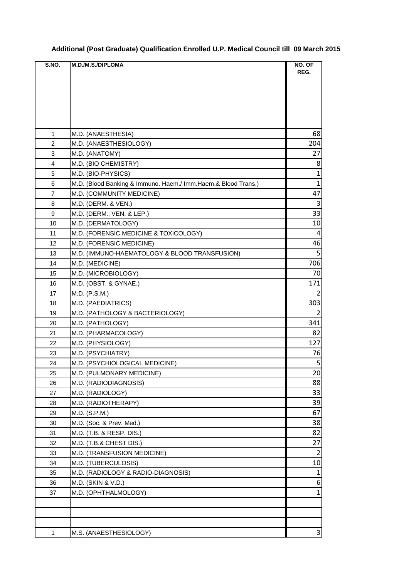|  |  | Additional (Post Graduate) Qualification Enrolled U.P. Medical Council till  09 March 2015 |  |
|--|--|--------------------------------------------------------------------------------------------|--|
|  |  |                                                                                            |  |

| S.NO. | M.D./M.S./DIPLOMA                                             | NO. OF         |
|-------|---------------------------------------------------------------|----------------|
|       |                                                               | REG.           |
|       |                                                               |                |
|       |                                                               |                |
|       |                                                               |                |
|       |                                                               |                |
| 1     | M.D. (ANAESTHESIA)                                            | 68             |
| 2     | M.D. (ANAESTHESIOLOGY)                                        | 204            |
| 3     | M.D. (ANATOMY)                                                | 27             |
| 4     | M.D. (BIO CHEMISTRY)                                          | 8              |
| 5     | M.D. (BIO-PHYSICS)                                            | $\mathbf{1}$   |
| 6     | M.D. (Blood Banking & Immuno. Haem./ Imm.Haem.& Blood Trans.) | $\mathbf{1}$   |
| 7     | M.D. (COMMUNITY MEDICINE)                                     | 47             |
| 8     | M.D. (DERM. & VEN.)                                           | $\overline{3}$ |
| 9     | M.D. (DERM., VEN. & LEP.)                                     | 33             |
| 10    | M.D. (DERMATOLOGY)                                            | 10             |
| 11    | M.D. (FORENSIC MEDICINE & TOXICOLOGY)                         | 4              |
| 12    | M.D. (FORENSIC MEDICINE)                                      | 46             |
| 13    | M.D. (IMMUNO-HAEMATOLOGY & BLOOD TRANSFUSION)                 | 5              |
| 14    | M.D. (MEDICINE)                                               | 706            |
| 15    | M.D. (MICROBIOLOGY)                                           | 70             |
| 16    | M.D. (OBST. & GYNAE.)                                         | 171            |
| 17    | M.D. (P.S.M.)                                                 | 2              |
| 18    | M.D. (PAEDIATRICS)                                            | 303            |
| 19    | M.D. (PATHOLOGY & BACTERIOLOGY)                               | $\overline{2}$ |
| 20    | M.D. (PATHOLOGY)                                              | 341            |
| 21    | M.D. (PHARMACOLOGY)                                           | 82             |
| 22    | M.D. (PHYSIOLOGY)                                             | 127            |
| 23    | M.D. (PSYCHIATRY)                                             | 76             |
| 24    | M.D. (PSYCHIOLOGICAL MEDICINE)                                | 5              |
| 25    | M.D. (PULMONARY MEDICINE)                                     | 20             |
| 26    | M.D. (RADIODIAGNOSIS)                                         | 88             |
| 27    | M.D. (RADIOLOGY)                                              | 33             |
| 28    | M.D. (RADIOTHERAPY)                                           | 39             |
| 29    | M.D. (S.P.M.)                                                 | 67             |
| 30    | M.D. (Soc. & Prev. Med.)                                      | 38             |
| 31    | M.D. (T.B. & RESP. DIS.)                                      | 82             |
| 32    | M.D. (T.B.& CHEST DIS.)                                       | 27             |
| 33    | M.D. (TRANSFUSION MEDICINE)                                   | $\overline{2}$ |
| 34    | M.D. (TUBERCULOSIS)                                           | 10             |
| 35    | M.D. (RADIOLOGY & RADIO-DIAGNOSIS)                            | $\mathbf{1}$   |
| 36    | M.D. (SKIN & V.D.)                                            | 6              |
| 37    | M.D. (OPHTHALMOLOGY)                                          | $\mathbf{1}$   |
|       |                                                               |                |
|       |                                                               |                |
|       |                                                               |                |
| 1     | M.S. (ANAESTHESIOLOGY)                                        | $\mathbf{3}$   |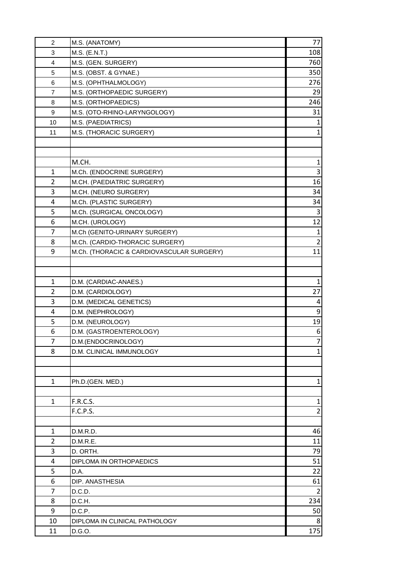| $\overline{c}$ | M.S. (ANATOMY)                            | 77             |
|----------------|-------------------------------------------|----------------|
| 3              | M.S. (E.N.T.)                             | 108            |
| 4              | M.S. (GEN. SURGERY)                       | 760            |
| 5              | M.S. (OBST. & GYNAE.)                     | 350            |
| 6              | M.S. (OPHTHALMOLOGY)                      | 276            |
| 7              | M.S. (ORTHOPAEDIC SURGERY)                | 29             |
| 8              | M.S. (ORTHOPAEDICS)                       | 246            |
| 9              | M.S. (OTO-RHINO-LARYNGOLOGY)              | 31             |
| 10             | M.S. (PAEDIATRICS)                        | $\mathbf{1}$   |
| 11             | M.S. (THORACIC SURGERY)                   | $\mathbf{1}$   |
|                |                                           |                |
|                |                                           |                |
|                | M.CH.                                     | $\mathbf{1}$   |
| $\mathbf{1}$   | M.Ch. (ENDOCRINE SURGERY)                 | 3              |
| 2              | M.CH. (PAEDIATRIC SURGERY)                | 16             |
| 3              | M.CH. (NEURO SURGERY)                     | 34             |
| 4              | M.Ch. (PLASTIC SURGERY)                   | 34             |
| 5              | M.Ch. (SURGICAL ONCOLOGY)                 | 3              |
| 6              | M.CH. (UROLOGY)                           | 12             |
| 7              | M.Ch (GENITO-URINARY SURGERY)             | $\mathbf{1}$   |
| 8              | M.Ch. (CARDIO-THORACIC SURGERY)           | $\overline{2}$ |
| 9              | M.Ch. (THORACIC & CARDIOVASCULAR SURGERY) | 11             |
|                |                                           |                |
|                |                                           |                |
| 1              | D.M. (CARDIAC-ANAES.)                     | $\mathbf{1}$   |
| $\overline{2}$ | D.M. (CARDIOLOGY)                         | 27             |
| 3              | D.M. (MEDICAL GENETICS)                   | $\overline{a}$ |
| 4              | D.M. (NEPHROLOGY)                         | $9\,$          |
| 5              | D.M. (NEUROLOGY)                          | 19             |
| 6              | D.M. (GASTROENTEROLOGY)                   | 6              |
| 7              | D.M.(ENDOCRINOLOGY)                       | $\overline{7}$ |
| 8              | D.M. CLINICAL IMMUNOLOGY                  | $\mathbf{1}$   |
|                |                                           |                |
|                |                                           |                |
| 1              | Ph.D.(GEN. MED.)                          | $\mathbf{1}$   |
|                |                                           |                |
| $\mathbf{1}$   | <b>F.R.C.S.</b>                           | $\mathbf{1}$   |
|                | F.C.P.S.                                  | $\overline{2}$ |
|                |                                           |                |
| 1              | D.M.R.D.                                  | 46             |
| 2              | D.M.R.E.                                  | 11             |
| 3              | D. ORTH.                                  | 79             |
| 4              | DIPLOMA IN ORTHOPAEDICS                   | 51             |
| 5              | D.A.                                      | 22             |
| 6              | DIP. ANASTHESIA                           | 61             |
| 7              | D.C.D.                                    | 2              |
| 8              |                                           | 234            |
| 9              | D.C.H.                                    |                |
|                | D.C.P.                                    | 50             |
| 10             | DIPLOMA IN CLINICAL PATHOLOGY             | 8              |
| 11             | D.G.O.                                    | 175            |